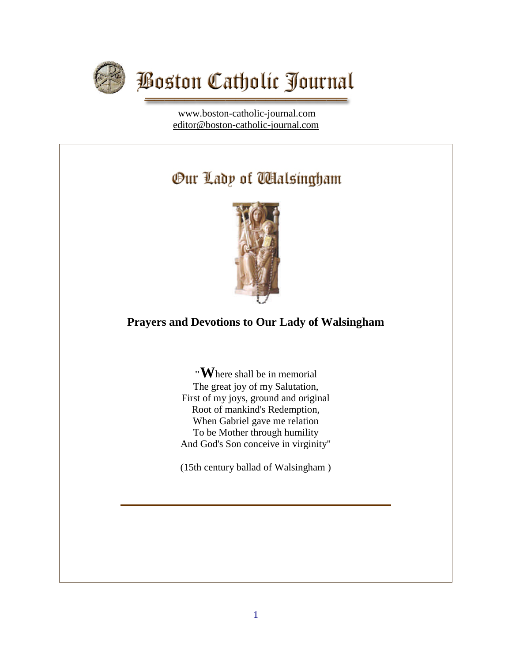

[www.boston-catholic-journal.com](http://www.boston-catholic-journal.com/) [editor@boston-catholic-journal.com](mailto:editor@boston-catholic-journal.com)

# Our Lady of Walsingham



# **Prayers and Devotions to Our Lady of Walsingham**

**"W**here shall be in memorial The great joy of my Salutation, First of my joys, ground and original Root of mankind's Redemption, When Gabriel gave me relation To be Mother through humility And God's Son conceive in virginity"

(15th century ballad of Walsingham )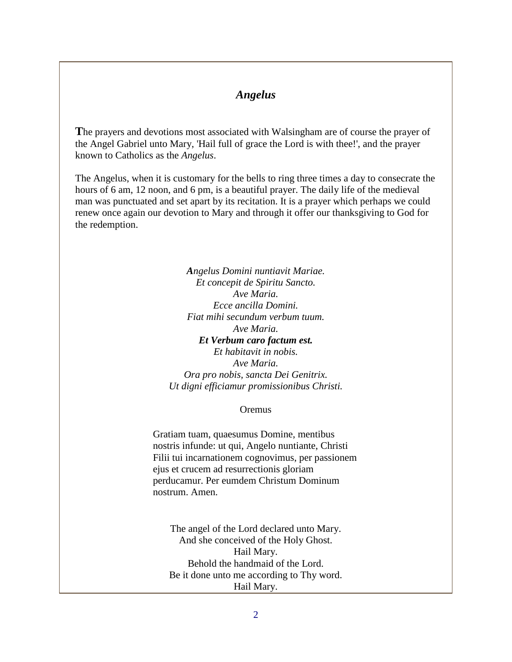### *Angelus*

**T**he prayers and devotions most associated with Walsingham are of course the prayer of the Angel Gabriel unto Mary, 'Hail full of grace the Lord is with thee!', and the prayer known to Catholics as the *Angelus*.

The Angelus, when it is customary for the bells to ring three times a day to consecrate the hours of 6 am, 12 noon, and 6 pm, is a beautiful prayer. The daily life of the medieval man was punctuated and set apart by its recitation. It is a prayer which perhaps we could renew once again our devotion to Mary and through it offer our thanksgiving to God for the redemption.

> *Angelus Domini nuntiavit Mariae. Et concepit de Spiritu Sancto. Ave Maria. Ecce ancilla Domini. Fiat mihi secundum verbum tuum. Ave Maria. Et Verbum caro factum est. Et habitavit in nobis. Ave Maria. Ora pro nobis, sancta Dei Genitrix. Ut digni efficiamur promissionibus Christi.*

#### **Oremus**

Gratiam tuam, quaesumus Domine, mentibus nostris infunde: ut qui, Angelo nuntiante, Christi Filii tui incarnationem cognovimus, per passionem ejus et crucem ad resurrectionis gloriam perducamur. Per eumdem Christum Dominum nostrum. Amen.

The angel of the Lord declared unto Mary. And she conceived of the Holy Ghost. Hail Mary. Behold the handmaid of the Lord. Be it done unto me according to Thy word. Hail Mary.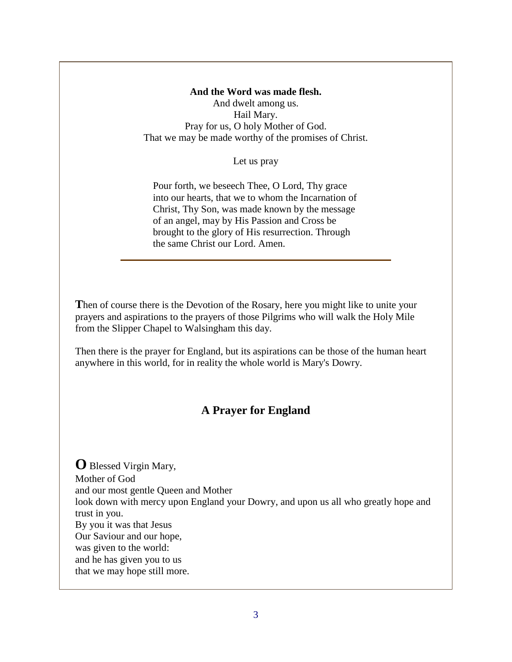**And the Word was made flesh.** And dwelt among us. Hail Mary. Pray for us, O holy Mother of God. That we may be made worthy of the promises of Christ.

Let us pray

Pour forth, we beseech Thee, O Lord, Thy grace into our hearts, that we to whom the Incarnation of Christ, Thy Son, was made known by the message of an angel, may by His Passion and Cross be brought to the glory of His resurrection. Through the same Christ our Lord. Amen.

Then of course there is the Devotion of the Rosary, here you might like to unite your prayers and aspirations to the prayers of those Pilgrims who will walk the Holy Mile from the Slipper Chapel to Walsingham this day.

Then there is the prayer for England, but its aspirations can be those of the human heart anywhere in this world, for in reality the whole world is Mary's Dowry.

# **A Prayer for England**

**O** Blessed Virgin Mary, Mother of God and our most gentle Queen and Mother look down with mercy upon England your Dowry, and upon us all who greatly hope and trust in you. By you it was that Jesus Our Saviour and our hope, was given to the world: and he has given you to us that we may hope still more.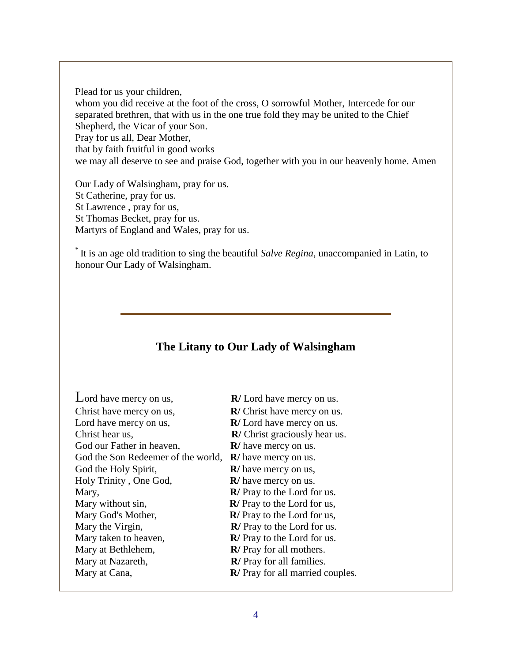Plead for us your children,

whom you did receive at the foot of the cross, O sorrowful Mother, Intercede for our separated brethren, that with us in the one true fold they may be united to the Chief Shepherd, the Vicar of your Son.

Pray for us all, Dear Mother,

that by faith fruitful in good works

we may all deserve to see and praise God, together with you in our heavenly home. Amen

Our Lady of Walsingham, pray for us. St Catherine, pray for us. St Lawrence , pray for us, St Thomas Becket, pray for us. Martyrs of England and Wales, pray for us.

\* It is an age old tradition to sing the beautiful *Salve Regina*, unaccompanied in Latin, to honour Our Lady of Walsingham.

# **The Litany to Our Lady of Walsingham**

| Lord have mercy on us,             | $\mathbb{R}/$ Lord have mercy on us.     |
|------------------------------------|------------------------------------------|
| Christ have mercy on us,           | $\mathbb{R}/$ Christ have mercy on us.   |
| Lord have mercy on us,             | $\mathbb{R}/$ Lord have mercy on us.     |
| Christ hear us,                    | <b>R</b> / Christ graciously hear us.    |
| God our Father in heaven,          | $\mathbb{R}/$ have mercy on us.          |
| God the Son Redeemer of the world, | $\mathbb{R}/$ have mercy on us.          |
| God the Holy Spirit,               | $\mathbf{R}/$ have mercy on us,          |
| Holy Trinity, One God,             | <b>R</b> / have mercy on us.             |
| Mary,                              | <b>R</b> / Pray to the Lord for us.      |
| Mary without sin,                  | $\mathbb{R}$ / Pray to the Lord for us,  |
| Mary God's Mother,                 | $\mathbb{R}$ / Pray to the Lord for us,  |
| Mary the Virgin,                   | <b>R</b> / Pray to the Lord for us.      |
| Mary taken to heaven,              | <b>R</b> / Pray to the Lord for us.      |
| Mary at Bethlehem,                 | <b>R</b> / Pray for all mothers.         |
| Mary at Nazareth,                  | <b>R</b> / Pray for all families.        |
| Mary at Cana,                      | <b>R</b> / Pray for all married couples. |
|                                    |                                          |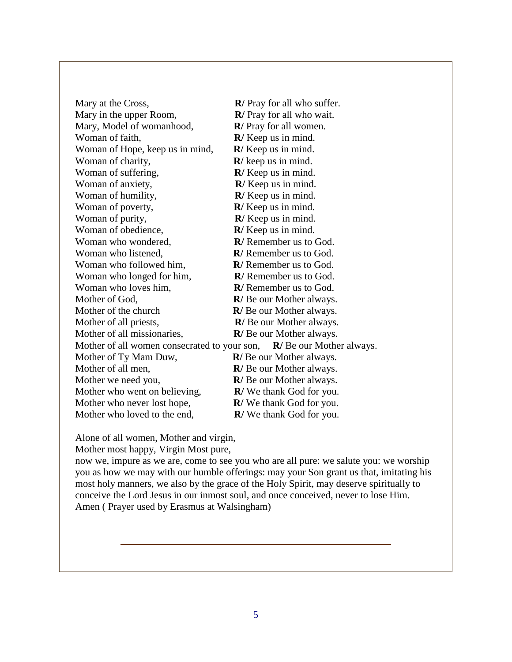| Mary at the Cross,                                                              | <b>R</b> / Pray for all who suffer. |
|---------------------------------------------------------------------------------|-------------------------------------|
| Mary in the upper Room,                                                         | R/ Pray for all who wait.           |
| Mary, Model of womanhood,                                                       | <b>R</b> / Pray for all women.      |
| Woman of faith,                                                                 | $\mathbb{R}/$ Keep us in mind.      |
| Woman of Hope, keep us in mind,                                                 | $\mathbb{R}/$ Keep us in mind.      |
| Woman of charity,                                                               | $\mathbb{R}/$ keep us in mind.      |
| Woman of suffering,                                                             | R/ Keep us in mind.                 |
| Woman of anxiety,                                                               | R/ Keep us in mind.                 |
| Woman of humility,                                                              | R/ Keep us in mind.                 |
| Woman of poverty,                                                               | $\mathbb{R}$ / Keep us in mind.     |
| Woman of purity,                                                                | R/ Keep us in mind.                 |
| Woman of obedience,                                                             | R/ Keep us in mind.                 |
| Woman who wondered,                                                             | <b>R</b> / Remember us to God.      |
| Woman who listened,                                                             | R/ Remember us to God.              |
| Woman who followed him,                                                         | <b>R</b> / Remember us to God.      |
| Woman who longed for him,                                                       | <b>R</b> / Remember us to God.      |
| Woman who loves him,                                                            | <b>R</b> / Remember us to God.      |
| Mother of God,                                                                  | <b>R</b> /Be our Mother always.     |
| Mother of the church                                                            | <b>R</b> /Be our Mother always.     |
| Mother of all priests,                                                          | <b>R</b> /Be our Mother always.     |
| Mother of all missionaries,                                                     | <b>R</b> /Be our Mother always.     |
| Mother of all women consecrated to your son,<br><b>R</b> /Be our Mother always. |                                     |
| Mother of Ty Mam Duw,                                                           | <b>R</b> /Be our Mother always.     |
| Mother of all men,                                                              | R/Be our Mother always.             |
| Mother we need you,                                                             | R/Be our Mother always.             |
| Mother who went on believing,                                                   | <b>R</b> /We thank God for you.     |
| Mother who never lost hope,                                                     | R/We thank God for you.             |
| Mother who loved to the end,                                                    | <b>R</b> /We thank God for you.     |

Alone of all women, Mother and virgin,

Mother most happy, Virgin Most pure,

now we, impure as we are, come to see you who are all pure: we salute you: we worship you as how we may with our humble offerings: may your Son grant us that, imitating his most holy manners, we also by the grace of the Holy Spirit, may deserve spiritually to conceive the Lord Jesus in our inmost soul, and once conceived, never to lose Him. Amen ( Prayer used by Erasmus at Walsingham)